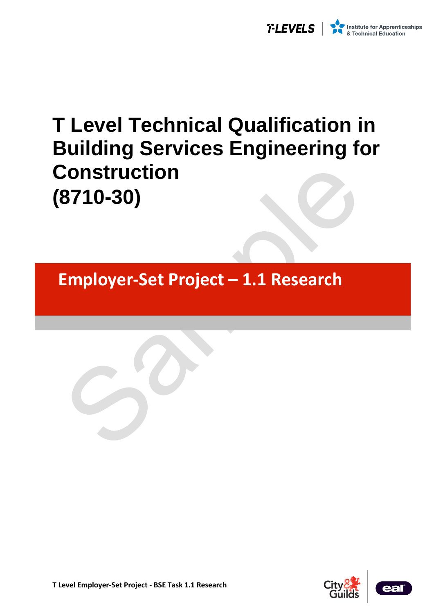

# **T Level Technical Qualification in Building Services Engineering for Construction (8710-30)**

**Employer-Set Project – 1.1 Research** 

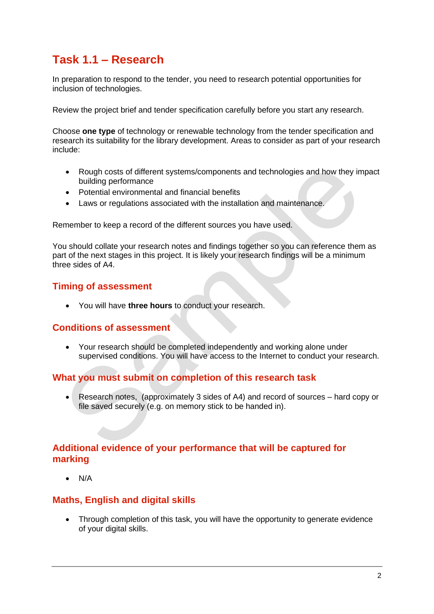## **Task 1.1 – Research**

In preparation to respond to the tender, you need to research potential opportunities for inclusion of technologies.

Review the project brief and tender specification carefully before you start any research.

Choose **one type** of technology or renewable technology from the tender specification and research its suitability for the library development. Areas to consider as part of your research include:

- Rough costs of different systems/components and technologies and how they impact building performance
- Potential environmental and financial benefits
- Laws or regulations associated with the installation and maintenance.

Remember to keep a record of the different sources you have used.

You should collate your research notes and findings together so you can reference them as part of the next stages in this project. It is likely your research findings will be a minimum three sides of A4.

### **Timing of assessment**

• You will have **three hours** to conduct your research.

### **Conditions of assessment**

• Your research should be completed independently and working alone under supervised conditions. You will have access to the Internet to conduct your research.

### **What you must submit on completion of this research task**

• Research notes, (approximately 3 sides of A4) and record of sources – hard copy or file saved securely (e.g. on memory stick to be handed in).

### **Additional evidence of your performance that will be captured for marking**

• N/A

#### **Maths, English and digital skills**

• Through completion of this task, you will have the opportunity to generate evidence of your digital skills.